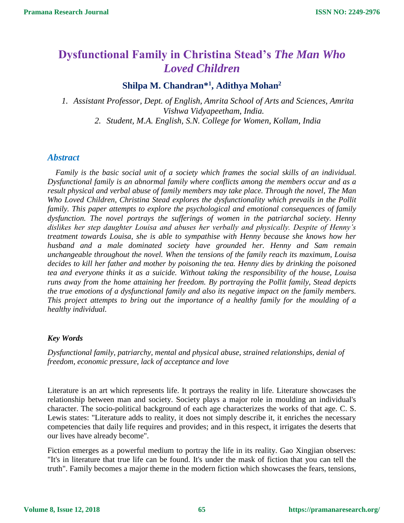# **Dysfunctional Family in Christina Stead's** *The Man Who Loved Children*

# **Shilpa M. Chandran\* 1 , Adithya Mohan<sup>2</sup>**

*1. Assistant Professor, Dept. of English, Amrita School of Arts and Sciences, Amrita Vishwa Vidyapeetham, India. 2. Student, M.A. English, S.N. College for Women, Kollam, India*

## *Abstract*

*Family is the basic social unit of a society which frames the social skills of an individual. Dysfunctional family is an abnormal family where conflicts among the members occur and as a result physical and verbal abuse of family members may take place. Through the novel, The Man Who Loved Children, Christina Stead explores the dysfunctionality which prevails in the Pollit family. This paper attempts to explore the psychological and emotional consequences of family dysfunction. The novel portrays the sufferings of women in the patriarchal society. Henny dislikes her step daughter Louisa and abuses her verbally and physically. Despite of Henny's treatment towards Louisa, she is able to sympathise with Henny because she knows how her husband and a male dominated society have grounded her. Henny and Sam remain unchangeable throughout the novel. When the tensions of the family reach its maximum, Louisa decides to kill her father and mother by poisoning the tea. Henny dies by drinking the poisoned tea and everyone thinks it as a suicide. Without taking the responsibility of the house, Louisa runs away from the home attaining her freedom. By portraying the Pollit family, Stead depicts the true emotions of a dysfunctional family and also its negative impact on the family members. This project attempts to bring out the importance of a healthy family for the moulding of a healthy individual.*

#### *Key Words*

*Dysfunctional family, patriarchy, mental and physical abuse, strained relationships, denial of freedom, economic pressure, lack of acceptance and love*

Literature is an art which represents life. It portrays the reality in life. Literature showcases the relationship between man and society. Society plays a major role in moulding an individual's character. The socio-political background of each age characterizes the works of that age. C. S. Lewis states: "Literature adds to reality, it does not simply describe it, it enriches the necessary competencies that daily life requires and provides; and in this respect, it irrigates the deserts that our lives have already become".

Fiction emerges as a powerful medium to portray the life in its reality. Gao Xingjian observes: "It's in literature that true life can be found. It's under the mask of fiction that you can tell the truth". Family becomes a major theme in the modern fiction which showcases the fears, tensions,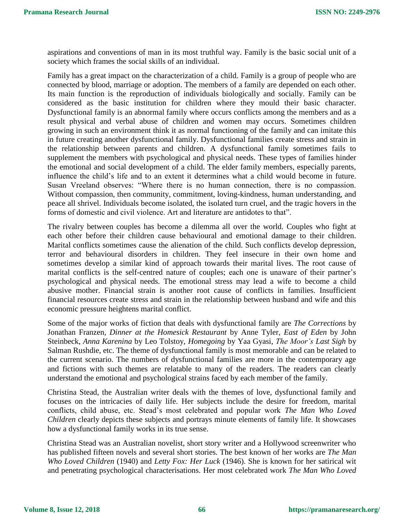aspirations and conventions of man in its most truthful way. Family is the basic social unit of a society which frames the social skills of an individual.

Family has a great impact on the characterization of a child. Family is a group of people who are connected by blood, marriage or adoption. The members of a family are depended on each other. Its main function is the reproduction of individuals biologically and socially. Family can be considered as the basic institution for children where they mould their basic character. Dysfunctional family is an abnormal family where occurs conflicts among the members and as a result physical and verbal abuse of children and women may occurs. Sometimes children growing in such an environment think it as normal functioning of the family and can imitate this in future creating another dysfunctional family. Dysfunctional families create stress and strain in the relationship between parents and children. A dysfunctional family sometimes fails to supplement the members with psychological and physical needs. These types of families hinder the emotional and social development of a child. The elder family members, especially parents, influence the child's life and to an extent it determines what a child would become in future. Susan Vreeland observes: "Where there is no human connection, there is no compassion. Without compassion, then community, commitment, loving-kindness, human understanding, and peace all shrivel. Individuals become isolated, the isolated turn cruel, and the tragic hovers in the forms of domestic and civil violence. Art and literature are antidotes to that".

The rivalry between couples has become a dilemma all over the world. Couples who fight at each other before their children cause behavioural and emotional damage to their children. Marital conflicts sometimes cause the alienation of the child. Such conflicts develop depression, terror and behavioural disorders in children. They feel insecure in their own home and sometimes develop a similar kind of approach towards their marital lives. The root cause of marital conflicts is the self-centred nature of couples; each one is unaware of their partner's psychological and physical needs. The emotional stress may lead a wife to become a child abusive mother. Financial strain is another root cause of conflicts in families. Insufficient financial resources create stress and strain in the relationship between husband and wife and this economic pressure heightens marital conflict.

Some of the major works of fiction that deals with dysfunctional family are *The Corrections* by Jonathan Franzen, *Dinner at the Homesick Restaurant* by Anne Tyler, *East of Eden* by John Steinbeck, *Anna Karenina* by Leo Tolstoy, *Homegoing* by Yaa Gyasi, *The Moor's Last Sigh* by Salman Rushdie, etc. The theme of dysfunctional family is most memorable and can be related to the current scenario. The numbers of dysfunctional families are more in the contemporary age and fictions with such themes are relatable to many of the readers. The readers can clearly understand the emotional and psychological strains faced by each member of the family.

Christina Stead, the Australian writer deals with the themes of love, dysfunctional family and focuses on the intricacies of daily life. Her subjects include the desire for freedom, marital conflicts, child abuse, etc. Stead's most celebrated and popular work *The Man Who Loved Children* clearly depicts these subjects and portrays minute elements of family life. It showcases how a dysfunctional family works in its true sense.

Christina Stead was an Australian novelist, short story writer and a Hollywood screenwriter who has published fifteen novels and several short stories. The best known of her works are *The Man Who Loved Children* (1940) and *Letty Fox: Her Luck* (1946). She is known for her satirical wit and penetrating psychological characterisations. Her most celebrated work *The Man Who Loved*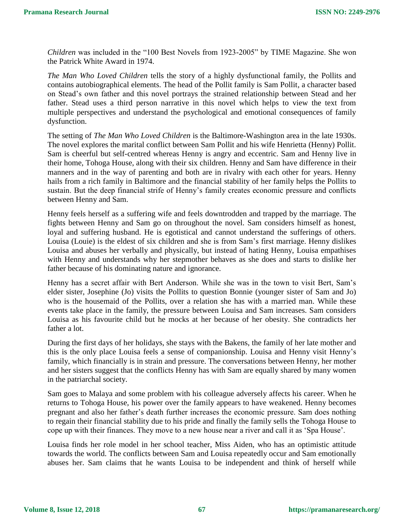*Children* was included in the "100 Best Novels from 1923-2005" by TIME Magazine. She won the Patrick White Award in 1974.

*The Man Who Loved Children* tells the story of a highly dysfunctional family, the Pollits and contains autobiographical elements. The head of the Pollit family is Sam Pollit, a character based on Stead's own father and this novel portrays the strained relationship between Stead and her father. Stead uses a third person narrative in this novel which helps to view the text from multiple perspectives and understand the psychological and emotional consequences of family dysfunction.

The setting of *The Man Who Loved Children* is the Baltimore-Washington area in the late 1930s. The novel explores the marital conflict between Sam Pollit and his wife Henrietta (Henny) Pollit. Sam is cheerful but self-centred whereas Henny is angry and eccentric. Sam and Henny live in their home, Tohoga House, along with their six children. Henny and Sam have difference in their manners and in the way of parenting and both are in rivalry with each other for years. Henny hails from a rich family in Baltimore and the financial stability of her family helps the Pollits to sustain. But the deep financial strife of Henny's family creates economic pressure and conflicts between Henny and Sam.

Henny feels herself as a suffering wife and feels downtrodden and trapped by the marriage. The fights between Henny and Sam go on throughout the novel. Sam considers himself as honest, loyal and suffering husband. He is egotistical and cannot understand the sufferings of others. Louisa (Louie) is the eldest of six children and she is from Sam's first marriage. Henny dislikes Louisa and abuses her verbally and physically, but instead of hating Henny, Louisa empathises with Henny and understands why her stepmother behaves as she does and starts to dislike her father because of his dominating nature and ignorance.

Henny has a secret affair with Bert Anderson. While she was in the town to visit Bert, Sam's elder sister, Josephine (Jo) visits the Pollits to question Bonnie (younger sister of Sam and Jo) who is the housemaid of the Pollits, over a relation she has with a married man. While these events take place in the family, the pressure between Louisa and Sam increases. Sam considers Louisa as his favourite child but he mocks at her because of her obesity. She contradicts her father a lot.

During the first days of her holidays, she stays with the Bakens, the family of her late mother and this is the only place Louisa feels a sense of companionship. Louisa and Henny visit Henny's family, which financially is in strain and pressure. The conversations between Henny, her mother and her sisters suggest that the conflicts Henny has with Sam are equally shared by many women in the patriarchal society.

Sam goes to Malaya and some problem with his colleague adversely affects his career. When he returns to Tohoga House, his power over the family appears to have weakened. Henny becomes pregnant and also her father's death further increases the economic pressure. Sam does nothing to regain their financial stability due to his pride and finally the family sells the Tohoga House to cope up with their finances. They move to a new house near a river and call it as 'Spa House'.

Louisa finds her role model in her school teacher, Miss Aiden, who has an optimistic attitude towards the world. The conflicts between Sam and Louisa repeatedly occur and Sam emotionally abuses her. Sam claims that he wants Louisa to be independent and think of herself while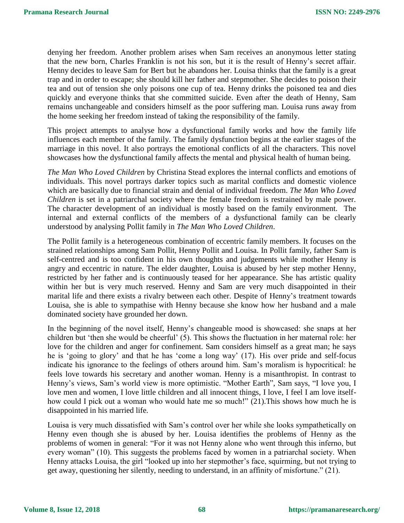denying her freedom. Another problem arises when Sam receives an anonymous letter stating that the new born, Charles Franklin is not his son, but it is the result of Henny's secret affair. Henny decides to leave Sam for Bert but he abandons her. Louisa thinks that the family is a great trap and in order to escape; she should kill her father and stepmother. She decides to poison their tea and out of tension she only poisons one cup of tea. Henny drinks the poisoned tea and dies quickly and everyone thinks that she committed suicide. Even after the death of Henny, Sam remains unchangeable and considers himself as the poor suffering man. Louisa runs away from the home seeking her freedom instead of taking the responsibility of the family.

This project attempts to analyse how a dysfunctional family works and how the family life influences each member of the family. The family dysfunction begins at the earlier stages of the marriage in this novel. It also portrays the emotional conflicts of all the characters. This novel showcases how the dysfunctional family affects the mental and physical health of human being.

*The Man Who Loved Children* by Christina Stead explores the internal conflicts and emotions of individuals. This novel portrays darker topics such as marital conflicts and domestic violence which are basically due to financial strain and denial of individual freedom. *The Man Who Loved Children* is set in a patriarchal society where the female freedom is restrained by male power. The character development of an individual is mostly based on the family environment. The internal and external conflicts of the members of a dysfunctional family can be clearly understood by analysing Pollit family in *The Man Who Loved Children*.

The Pollit family is a heterogeneous combination of eccentric family members. It focuses on the strained relationships among Sam Pollit, Henny Pollit and Louisa. In Pollit family, father Sam is self-centred and is too confident in his own thoughts and judgements while mother Henny is angry and eccentric in nature. The elder daughter, Louisa is abused by her step mother Henny, restricted by her father and is continuously teased for her appearance. She has artistic quality within her but is very much reserved. Henny and Sam are very much disappointed in their marital life and there exists a rivalry between each other. Despite of Henny's treatment towards Louisa, she is able to sympathise with Henny because she know how her husband and a male dominated society have grounded her down.

In the beginning of the novel itself, Henny's changeable mood is showcased: she snaps at her children but 'then she would be cheerful' (5). This shows the fluctuation in her maternal role: her love for the children and anger for confinement. Sam considers himself as a great man; he says he is 'going to glory' and that he has 'come a long way' (17). His over pride and self-focus indicate his ignorance to the feelings of others around him. Sam's moralism is hypocritical: he feels love towards his secretary and another woman. Henny is a misanthropist. In contrast to Henny's views, Sam's world view is more optimistic. "Mother Earth", Sam says, "I love you, I love men and women, I love little children and all innocent things, I love, I feel I am love itselfhow could I pick out a woman who would hate me so much!" (21). This shows how much he is disappointed in his married life.

Louisa is very much dissatisfied with Sam's control over her while she looks sympathetically on Henny even though she is abused by her. Louisa identifies the problems of Henny as the problems of women in general: "For it was not Henny alone who went through this inferno, but every woman" (10). This suggests the problems faced by women in a patriarchal society. When Henny attacks Louisa, the girl "looked up into her stepmother's face, squirming, but not trying to get away, questioning her silently, needing to understand, in an affinity of misfortune." (21).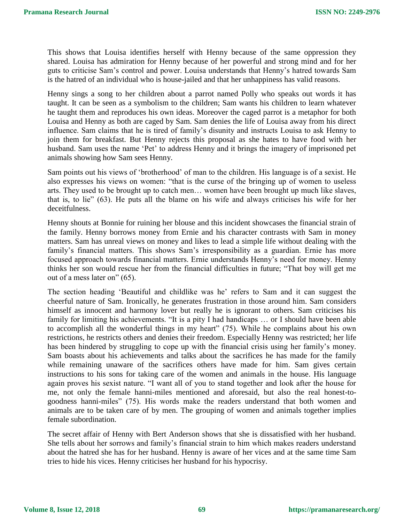This shows that Louisa identifies herself with Henny because of the same oppression they shared. Louisa has admiration for Henny because of her powerful and strong mind and for her guts to criticise Sam's control and power. Louisa understands that Henny's hatred towards Sam is the hatred of an individual who is house-jailed and that her unhappiness has valid reasons.

Henny sings a song to her children about a parrot named Polly who speaks out words it has taught. It can be seen as a symbolism to the children; Sam wants his children to learn whatever he taught them and reproduces his own ideas. Moreover the caged parrot is a metaphor for both Louisa and Henny as both are caged by Sam. Sam denies the life of Louisa away from his direct influence. Sam claims that he is tired of family's disunity and instructs Louisa to ask Henny to join them for breakfast. But Henny rejects this proposal as she hates to have food with her husband. Sam uses the name 'Pet' to address Henny and it brings the imagery of imprisoned pet animals showing how Sam sees Henny.

Sam points out his views of 'brotherhood' of man to the children. His language is of a sexist. He also expresses his views on women: "that is the curse of the bringing up of women to useless arts. They used to be brought up to catch men… women have been brought up much like slaves, that is, to lie" (63). He puts all the blame on his wife and always criticises his wife for her deceitfulness.

Henny shouts at Bonnie for ruining her blouse and this incident showcases the financial strain of the family. Henny borrows money from Ernie and his character contrasts with Sam in money matters. Sam has unreal views on money and likes to lead a simple life without dealing with the family's financial matters. This shows Sam's irresponsibility as a guardian. Ernie has more focused approach towards financial matters. Ernie understands Henny's need for money. Henny thinks her son would rescue her from the financial difficulties in future; "That boy will get me out of a mess later on" (65).

The section heading 'Beautiful and childlike was he' refers to Sam and it can suggest the cheerful nature of Sam. Ironically, he generates frustration in those around him. Sam considers himself as innocent and harmony lover but really he is ignorant to others. Sam criticises his family for limiting his achievements. "It is a pity I had handicaps … or I should have been able to accomplish all the wonderful things in my heart" (75). While he complains about his own restrictions, he restricts others and denies their freedom. Especially Henny was restricted; her life has been hindered by struggling to cope up with the financial crisis using her family's money. Sam boasts about his achievements and talks about the sacrifices he has made for the family while remaining unaware of the sacrifices others have made for him. Sam gives certain instructions to his sons for taking care of the women and animals in the house. His language again proves his sexist nature. "I want all of you to stand together and look after the house for me, not only the female hanni-miles mentioned and aforesaid, but also the real honest-togoodness hanni-miles" (75). His words make the readers understand that both women and animals are to be taken care of by men. The grouping of women and animals together implies female subordination.

The secret affair of Henny with Bert Anderson shows that she is dissatisfied with her husband. She tells about her sorrows and family's financial strain to him which makes readers understand about the hatred she has for her husband. Henny is aware of her vices and at the same time Sam tries to hide his vices. Henny criticises her husband for his hypocrisy.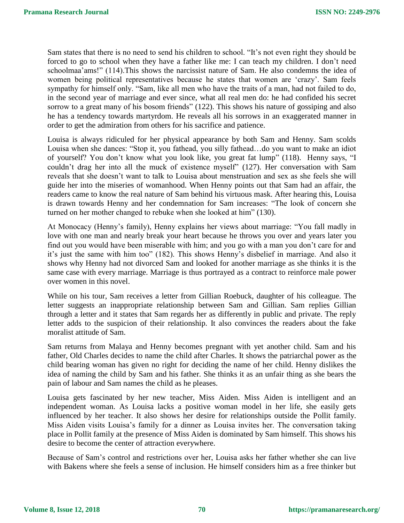Sam states that there is no need to send his children to school. "It's not even right they should be forced to go to school when they have a father like me: I can teach my children. I don't need schoolmaa'ams!" (114).This shows the narcissist nature of Sam. He also condemns the idea of women being political representatives because he states that women are 'crazy'. Sam feels sympathy for himself only. "Sam, like all men who have the traits of a man, had not failed to do, in the second year of marriage and ever since, what all real men do: he had confided his secret sorrow to a great many of his bosom friends" (122). This shows his nature of gossiping and also he has a tendency towards martyrdom. He reveals all his sorrows in an exaggerated manner in order to get the admiration from others for his sacrifice and patience.

Louisa is always ridiculed for her physical appearance by both Sam and Henny. Sam scolds Louisa when she dances: "Stop it, you fathead, you silly fathead…do you want to make an idiot of yourself? You don't know what you look like, you great fat lump" (118). Henny says, "I couldn't drag her into all the muck of existence myself" (127). Her conversation with Sam reveals that she doesn't want to talk to Louisa about menstruation and sex as she feels she will guide her into the miseries of womanhood. When Henny points out that Sam had an affair, the readers came to know the real nature of Sam behind his virtuous mask. After hearing this, Louisa is drawn towards Henny and her condemnation for Sam increases: "The look of concern she turned on her mother changed to rebuke when she looked at him" (130).

At Monocacy (Henny's family), Henny explains her views about marriage: "You fall madly in love with one man and nearly break your heart because he throws you over and years later you find out you would have been miserable with him; and you go with a man you don't care for and it's just the same with him too" (182). This shows Henny's disbelief in marriage. And also it shows why Henny had not divorced Sam and looked for another marriage as she thinks it is the same case with every marriage. Marriage is thus portrayed as a contract to reinforce male power over women in this novel.

While on his tour, Sam receives a letter from Gillian Roebuck, daughter of his colleague. The letter suggests an inappropriate relationship between Sam and Gillian. Sam replies Gillian through a letter and it states that Sam regards her as differently in public and private. The reply letter adds to the suspicion of their relationship. It also convinces the readers about the fake moralist attitude of Sam.

Sam returns from Malaya and Henny becomes pregnant with yet another child. Sam and his father, Old Charles decides to name the child after Charles. It shows the patriarchal power as the child bearing woman has given no right for deciding the name of her child. Henny dislikes the idea of naming the child by Sam and his father. She thinks it as an unfair thing as she bears the pain of labour and Sam names the child as he pleases.

Louisa gets fascinated by her new teacher, Miss Aiden. Miss Aiden is intelligent and an independent woman. As Louisa lacks a positive woman model in her life, she easily gets influenced by her teacher. It also shows her desire for relationships outside the Pollit family. Miss Aiden visits Louisa's family for a dinner as Louisa invites her. The conversation taking place in Pollit family at the presence of Miss Aiden is dominated by Sam himself. This shows his desire to become the center of attraction everywhere.

Because of Sam's control and restrictions over her, Louisa asks her father whether she can live with Bakens where she feels a sense of inclusion. He himself considers him as a free thinker but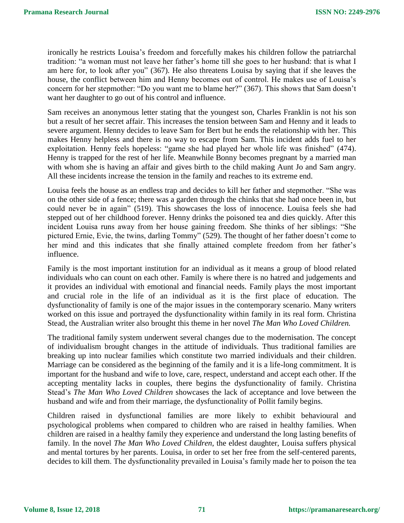ironically he restricts Louisa's freedom and forcefully makes his children follow the patriarchal tradition: "a woman must not leave her father's home till she goes to her husband: that is what I am here for, to look after you" (367). He also threatens Louisa by saying that if she leaves the house, the conflict between him and Henny becomes out of control. He makes use of Louisa's concern for her stepmother: "Do you want me to blame her?" (367). This shows that Sam doesn't want her daughter to go out of his control and influence.

Sam receives an anonymous letter stating that the youngest son, Charles Franklin is not his son but a result of her secret affair. This increases the tension between Sam and Henny and it leads to severe argument. Henny decides to leave Sam for Bert but he ends the relationship with her. This makes Henny helpless and there is no way to escape from Sam. This incident adds fuel to her exploitation. Henny feels hopeless: "game she had played her whole life was finished" (474). Henny is trapped for the rest of her life. Meanwhile Bonny becomes pregnant by a married man with whom she is having an affair and gives birth to the child making Aunt Jo and Sam angry. All these incidents increase the tension in the family and reaches to its extreme end.

Louisa feels the house as an endless trap and decides to kill her father and stepmother. "She was on the other side of a fence; there was a garden through the chinks that she had once been in, but could never be in again" (519). This showcases the loss of innocence. Louisa feels she had stepped out of her childhood forever. Henny drinks the poisoned tea and dies quickly. After this incident Louisa runs away from her house gaining freedom. She thinks of her siblings: "She pictured Ernie, Evie, the twins, darling Tommy" (529). The thought of her father doesn't come to her mind and this indicates that she finally attained complete freedom from her father's influence.

Family is the most important institution for an individual as it means a group of blood related individuals who can count on each other. Family is where there is no hatred and judgements and it provides an individual with emotional and financial needs. Family plays the most important and crucial role in the life of an individual as it is the first place of education. The dysfunctionality of family is one of the major issues in the contemporary scenario. Many writers worked on this issue and portrayed the dysfunctionality within family in its real form. Christina Stead, the Australian writer also brought this theme in her novel *The Man Who Loved Children.*

The traditional family system underwent several changes due to the modernisation. The concept of individualism brought changes in the attitude of individuals. Thus traditional families are breaking up into nuclear families which constitute two married individuals and their children. Marriage can be considered as the beginning of the family and it is a life-long commitment. It is important for the husband and wife to love, care, respect, understand and accept each other. If the accepting mentality lacks in couples, there begins the dysfunctionality of family. Christina Stead's *The Man Who Loved Children* showcases the lack of acceptance and love between the husband and wife and from their marriage, the dysfunctionality of Pollit family begins.

Children raised in dysfunctional families are more likely to exhibit behavioural and psychological problems when compared to children who are raised in healthy families. When children are raised in a healthy family they experience and understand the long lasting benefits of family. In the novel *The Man Who Loved Children*, the eldest daughter, Louisa suffers physical and mental tortures by her parents. Louisa, in order to set her free from the self-centered parents, decides to kill them. The dysfunctionality prevailed in Louisa's family made her to poison the tea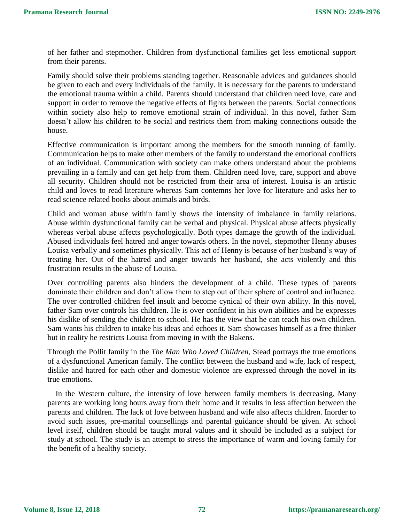of her father and stepmother. Children from dysfunctional families get less emotional support from their parents.

Family should solve their problems standing together. Reasonable advices and guidances should be given to each and every individuals of the family. It is necessary for the parents to understand the emotional trauma within a child. Parents should understand that children need love, care and support in order to remove the negative effects of fights between the parents. Social connections within society also help to remove emotional strain of individual. In this novel, father Sam doesn't allow his children to be social and restricts them from making connections outside the house.

Effective communication is important among the members for the smooth running of family. Communication helps to make other members of the family to understand the emotional conflicts of an individual. Communication with society can make others understand about the problems prevailing in a family and can get help from them. Children need love, care, support and above all security. Children should not be restricted from their area of interest. Louisa is an artistic child and loves to read literature whereas Sam contemns her love for literature and asks her to read science related books about animals and birds.

Child and woman abuse within family shows the intensity of imbalance in family relations. Abuse within dysfunctional family can be verbal and physical. Physical abuse affects physically whereas verbal abuse affects psychologically. Both types damage the growth of the individual. Abused individuals feel hatred and anger towards others. In the novel, stepmother Henny abuses Louisa verbally and sometimes physically. This act of Henny is because of her husband's way of treating her. Out of the hatred and anger towards her husband, she acts violently and this frustration results in the abuse of Louisa.

Over controlling parents also hinders the development of a child. These types of parents dominate their children and don't allow them to step out of their sphere of control and influence. The over controlled children feel insult and become cynical of their own ability. In this novel, father Sam over controls his children. He is over confident in his own abilities and he expresses his dislike of sending the children to school. He has the view that he can teach his own children. Sam wants his children to intake his ideas and echoes it. Sam showcases himself as a free thinker but in reality he restricts Louisa from moving in with the Bakens.

Through the Pollit family in the *The Man Who Loved Children*, Stead portrays the true emotions of a dysfunctional American family. The conflict between the husband and wife, lack of respect, dislike and hatred for each other and domestic violence are expressed through the novel in its true emotions.

In the Western culture, the intensity of love between family members is decreasing. Many parents are working long hours away from their home and it results in less affection between the parents and children. The lack of love between husband and wife also affects children. Inorder to avoid such issues, pre-marital counsellings and parental guidance should be given. At school level itself, children should be taught moral values and it should be included as a subject for study at school. The study is an attempt to stress the importance of warm and loving family for the benefit of a healthy society.